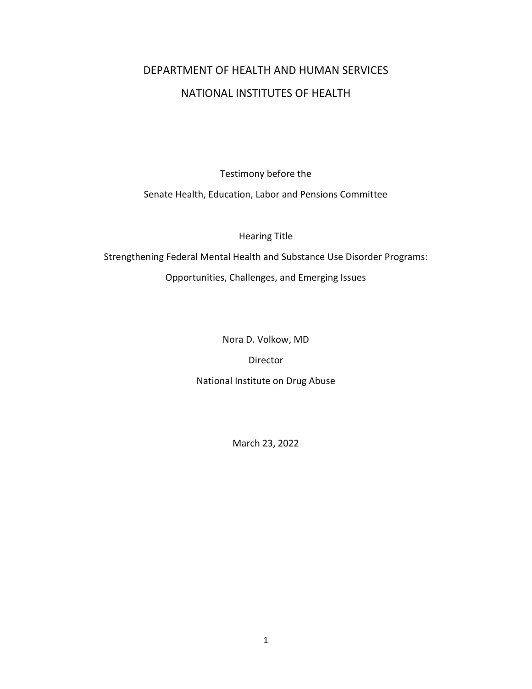# DEPARTMENT OF HEALTH AND HUMAN SERVICES NATIONAL INSTITUTES OF HEALTH

Testimony before the

Senate Health, Education, Labor and Pensions Committee

Hearing Title

Strengthening Federal Mental Health and Substance Use Disorder Programs: Opportunities, Challenges, and Emerging Issues

Nora D. Volkow, MD

Director

National Institute on Drug Abuse

March 23, 2022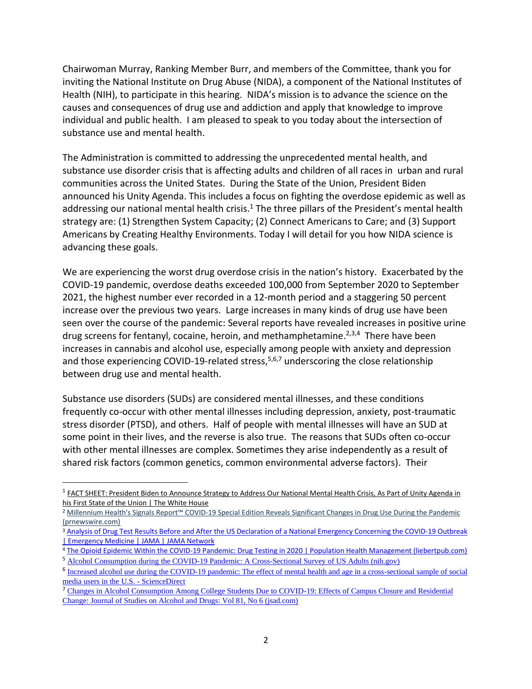Chairwoman Murray, Ranking Member Burr, and members of the Committee, thank you for inviting the National Institute on Drug Abuse (NIDA), a component of the National Institutes of Health (NIH), to participate in this hearing. NIDA's mission is to advance the science on the causes and consequences of drug use and addiction and apply that knowledge to improve individual and public health. I am pleased to speak to you today about the intersection of substance use and mental health.

The Administration is committed to addressing the unprecedented mental health, and substance use disorder crisis that is affecting adults and children of all races in urban and rural communities across the United States. During the State of the Union, President Biden announced his Unity Agenda. This includes a focus on fighting the overdose epidemic as well as addressing our national mental health crisis.<sup>1</sup> The three pillars of the President's mental health strategy are: (1) Strengthen System Capacity; (2) Connect Americans to Care; and (3) Support Americans by Creating Healthy Environments. Today I will detail for you how NIDA science is advancing these goals.

We are experiencing the worst drug overdose crisis in the nation's history. Exacerbated by the COVID-19 pandemic, overdose deaths exceeded 100,000 from September 2020 to September 2021, the highest number ever recorded in a 12-month period and a staggering 50 percent increase over the previous two years. Large increases in many kinds of drug use have been seen over the course of the pandemic: Several reports have revealed increases in positive urine drug screens for fentanyl, cocaine, heroin, and methamphetamine.<sup>2,3,4</sup> There have been increases in cannabis and alcohol use, especially among people with anxiety and depression and those experiencing COVID-19-related stress,<sup>5,6,7</sup> underscoring the close relationship between drug use and mental health.

Substance use disorders (SUDs) are considered mental illnesses, and these conditions frequently co-occur with other mental illnesses including depression, anxiety, post-traumatic stress disorder (PTSD), and others. Half of people with mental illnesses will have an SUD at some point in their lives, and the reverse is also true. The reasons that SUDs often co-occur with other mental illnesses are complex. Sometimes they arise independently as a result of shared risk factors (common genetics, common environmental adverse factors). Their

<sup>&</sup>lt;sup>1</sup> FACT SHEET: President Biden to Announce Strategy to Address Our National Mental Health Crisis, As Part of Unity Agenda in [his First State of the Union | The White House](https://www.whitehouse.gov/briefing-room/statements-releases/2022/03/01/fact-sheet-president-biden-to-announce-strategy-to-address-our-national-mental-health-crisis-as-part-of-unity-agenda-in-his-first-state-of-the-union/)

<sup>2</sup> [Millennium](https://www.prnewswire.com/news-releases/millennium-healths-signals-report-covid-19-special-edition-reveals-significant-changes-in-drug-use-during-the-pandemic-301089684.html) Health's Signals Report™ COVID-19 Special Edition Reveals Significant Changes in Drug Use During the Pandemic [\(prnewswire.com\)](https://www.prnewswire.com/news-releases/millennium-healths-signals-report-covid-19-special-edition-reveals-significant-changes-in-drug-use-during-the-pandemic-301089684.html)

<sup>&</sup>lt;sup>3</sup> Analysis of Drug Test Results Before and After the US Declaration of a National Emergency Concerning the COVID-19 Outbreak [| Emergency Medicine | JAMA | JAMA Network](https://jamanetwork.com/journals/jama/fullarticle/2770987)

<sup>4</sup> [The Opioid Epidemic Within the COVID-19 Pandemic: Drug Testing in 2020 | Population Health Management \(liebertpub.com\)](https://www.liebertpub.com/doi/full/10.1089/pop.2020.0230) <sup>5</sup> [Alcohol Consumption during the COVID-19 Pandemic: A Cross-Sectional Survey of US Adults \(nih.gov\)](https://www.ncbi.nlm.nih.gov/pmc/articles/PMC7763183/)

<sup>&</sup>lt;sup>6</sup> Increased alcohol use during the COVID-19 pandemic: The effect of mental health and age in a cross-sectional sample of social [media users in the U.S. -](https://www.sciencedirect.com/science/article/pii/S0091743521000062?via%3Dihub) ScienceDirect

<sup>&</sup>lt;sup>7</sup> Changes in Alcohol Consumption Among College Students Due to COVID-19: Effects of Campus Closure and Residential [Change: Journal of Studies on Alcohol and Drugs: Vol 81, No 6 \(jsad.com\)](https://www.jsad.com/doi/full/10.15288/jsad.2020.81.725)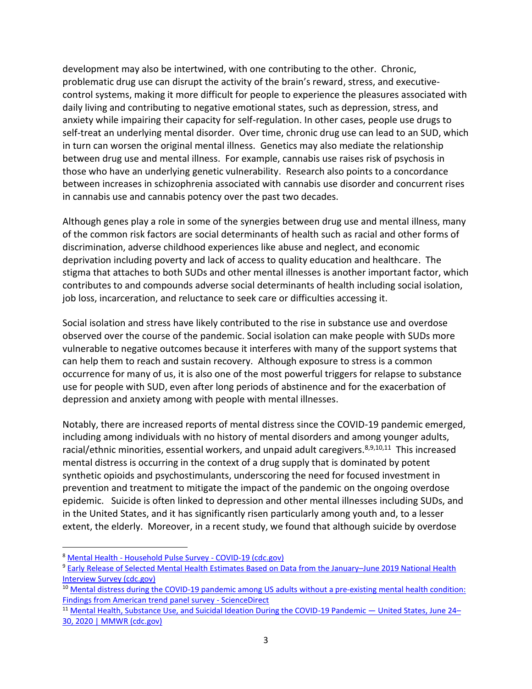development may also be intertwined, with one contributing to the other. Chronic, problematic drug use can disrupt the activity of the brain's reward, stress, and executivecontrol systems, making it more difficult for people to experience the pleasures associated with daily living and contributing to negative emotional states, such as depression, stress, and anxiety while impairing their capacity for self-regulation. In other cases, people use drugs to self-treat an underlying mental disorder. Over time, chronic drug use can lead to an SUD, which in turn can worsen the original mental illness. Genetics may also mediate the relationship between drug use and mental illness. For example, cannabis use raises risk of psychosis in those who have an underlying genetic vulnerability. Research also points to a concordance between increases in schizophrenia associated with cannabis use disorder and concurrent rises in cannabis use and cannabis potency over the past two decades.

Although genes play a role in some of the synergies between drug use and mental illness, many of the common risk factors are social determinants of health such as racial and other forms of discrimination, adverse childhood experiences like abuse and neglect, and economic deprivation including poverty and lack of access to quality education and healthcare. The stigma that attaches to both SUDs and other mental illnesses is another important factor, which contributes to and compounds adverse social determinants of health including social isolation, job loss, incarceration, and reluctance to seek care or difficulties accessing it.

Social isolation and stress have likely contributed to the rise in substance use and overdose observed over the course of the pandemic. Social isolation can make people with SUDs more vulnerable to negative outcomes because it interferes with many of the support systems that can help them to reach and sustain recovery. Although exposure to stress is a common occurrence for many of us, it is also one of the most powerful triggers for relapse to substance use for people with SUD, even after long periods of abstinence and for the exacerbation of depression and anxiety among with people with mental illnesses.

Notably, there are increased reports of mental distress since the COVID-19 pandemic emerged, including among individuals with no history of mental disorders and among younger adults, racial/ethnic minorities, essential workers, and unpaid adult caregivers.<sup>8,9,10,11</sup> This increased mental distress is occurring in the context of a drug supply that is dominated by potent synthetic opioids and psychostimulants, underscoring the need for focused investment in prevention and treatment to mitigate the impact of the pandemic on the ongoing overdose epidemic. Suicide is often linked to depression and other mental illnesses including SUDs, and in the United States, and it has significantly risen particularly among youth and, to a lesser extent, the elderly. Moreover, in a recent study, we found that although suicide by overdose

<sup>8</sup> Mental Health - [Household Pulse Survey -](https://www.cdc.gov/nchs/covid19/pulse/mental-health.htm) COVID-19 (cdc.gov)

<sup>9</sup> [Early Release of Selected Mental Health Estimates Based on Data from the January](https://www.cdc.gov/nchs/data/nhis/earlyrelease/ERmentalhealth-508.pdf)–June 2019 National Health [Interview Survey \(cdc.gov\)](https://www.cdc.gov/nchs/data/nhis/earlyrelease/ERmentalhealth-508.pdf)

<sup>&</sup>lt;sup>10</sup> Mental distress during the COVID-19 pandemic among US adults without a pre-existing mental health condition: [Findings from American trend panel survey -](https://www.sciencedirect.com/science/article/abs/pii/S0091743520302553?via%3Dihub) ScienceDirect

<sup>&</sup>lt;sup>11</sup> [Mental Health, Substance Use, and Suicidal Ideation During the COVID-19 Pandemic](https://www.cdc.gov/mmwr/volumes/69/wr/mm6932a1.htm) — United States, June 24– [30, 2020 | MMWR \(cdc.gov\)](https://www.cdc.gov/mmwr/volumes/69/wr/mm6932a1.htm)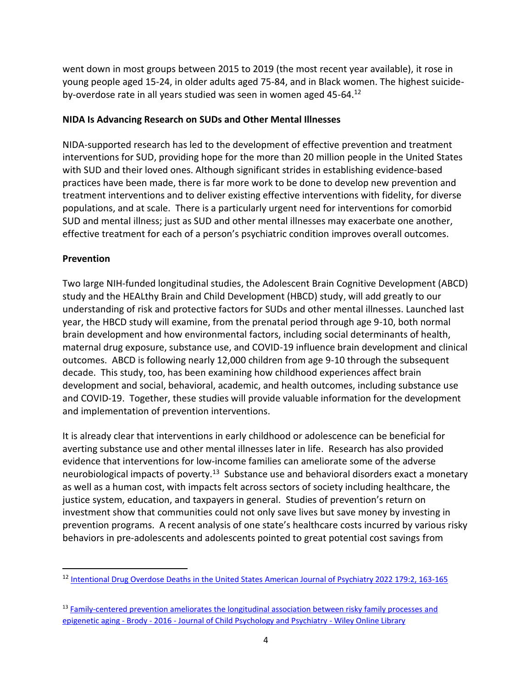went down in most groups between 2015 to 2019 (the most recent year available), it rose in young people aged 15-24, in older adults aged 75-84, and in Black women. The highest suicideby-overdose rate in all years studied was seen in women aged 45-64.<sup>12</sup>

#### **NIDA Is Advancing Research on SUDs and Other Mental Illnesses**

NIDA-supported research has led to the development of effective prevention and treatment interventions for SUD, providing hope for the more than 20 million people in the United States with SUD and their loved ones. Although significant strides in establishing evidence-based practices have been made, there is far more work to be done to develop new prevention and treatment interventions and to deliver existing effective interventions with fidelity, for diverse populations, and at scale. There is a particularly urgent need for interventions for comorbid SUD and mental illness; just as SUD and other mental illnesses may exacerbate one another, effective treatment for each of a person's psychiatric condition improves overall outcomes.

# **Prevention**

Two large NIH-funded longitudinal studies, the Adolescent Brain Cognitive Development (ABCD) study and the HEALthy Brain and Child Development (HBCD) study, will add greatly to our understanding of risk and protective factors for SUDs and other mental illnesses. Launched last year, the HBCD study will examine, from the prenatal period through age 9-10, both normal brain development and how environmental factors, including social determinants of health, maternal drug exposure, substance use, and COVID-19 influence brain development and clinical outcomes. ABCD is following nearly 12,000 children from age 9-10 through the subsequent decade. This study, too, has been examining how childhood experiences affect brain development and social, behavioral, academic, and health outcomes, including substance use and COVID-19. Together, these studies will provide valuable information for the development and implementation of prevention interventions.

It is already clear that interventions in early childhood or adolescence can be beneficial for averting substance use and other mental illnesses later in life. Research has also provided evidence that interventions for low-income families can ameliorate some of the adverse neurobiological impacts of poverty.<sup>13</sup> Substance use and behavioral disorders exact a monetary as well as a human cost, with impacts felt across sectors of society including healthcare, the justice system, education, and taxpayers in general. Studies of prevention's return on investment show that communities could not only save lives but save money by investing in prevention programs. A recent analysis of one state's healthcare costs incurred by various risky behaviors in pre-adolescents and adolescents pointed to great potential cost savings from

<sup>12</sup> [Intentional Drug Overdose Deaths in the United States](https://ajp.psychiatryonline.org/action/showCitFormats?doi=10.1176%2Fappi.ajp.2021.21060604) [American Journal of Psychiatry 2022 179:2, 163-165](https://ajp.psychiatryonline.org/action/showCitFormats?doi=10.1176%2Fappi.ajp.2021.21060604)

<sup>13</sup> Family-centered prevention ameliorates the longitudinal association between risky family processes and epigenetic aging - Brody - 2016 - [Journal of Child Psychology and Psychiatry -](https://acamh.onlinelibrary.wiley.com/doi/10.1111/jcpp.12495) Wiley Online Library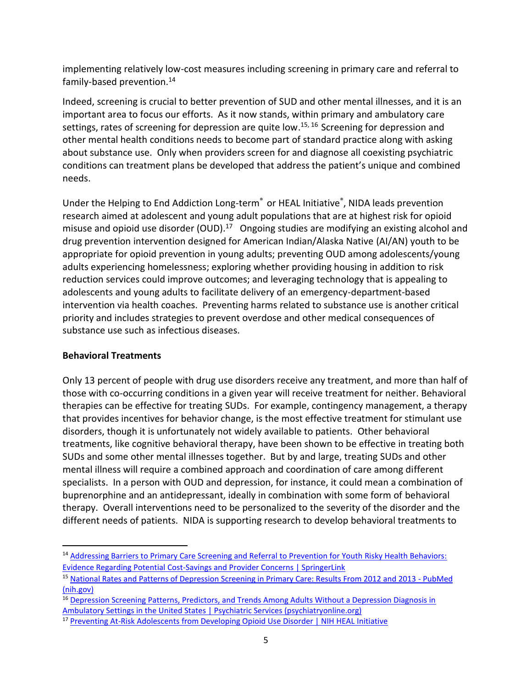implementing relatively low-cost measures including screening in primary care and referral to family-based prevention.<sup>14</sup>

Indeed, screening is crucial to better prevention of SUD and other mental illnesses, and it is an important area to focus our efforts. As it now stands, within primary and ambulatory care settings, rates of screening for depression are quite low.<sup>15, 16</sup> Screening for depression and other mental health conditions needs to become part of standard practice along with asking about substance use. Only when providers screen for and diagnose all coexisting psychiatric conditions can treatment plans be developed that address the patient's unique and combined needs.

Under the Helping to End Addiction Long-term<sup>®</sup> or HEAL Initiative<sup>®</sup>, NIDA leads prevention research aimed at adolescent and young adult populations that are at highest risk for opioid misuse and opioid use disorder (OUD).<sup>17</sup> Ongoing studies are modifying an existing alcohol and drug prevention intervention designed for American Indian/Alaska Native (AI/AN) youth to be appropriate for opioid prevention in young adults; preventing OUD among adolescents/young adults experiencing homelessness; exploring whether providing housing in addition to risk reduction services could improve outcomes; and leveraging technology that is appealing to adolescents and young adults to facilitate delivery of an emergency-department-based intervention via health coaches. Preventing harms related to substance use is another critical priority and includes strategies to prevent overdose and other medical consequences of substance use such as infectious diseases.

# **Behavioral Treatments**

Only 13 percent of people with drug use disorders receive any treatment, and more than half of those with co-occurring conditions in a given year will receive treatment for neither. Behavioral therapies can be effective for treating SUDs. For example, contingency management, a therapy that provides incentives for behavior change, is the most effective treatment for stimulant use disorders, though it is unfortunately not widely available to patients. Other behavioral treatments, like cognitive behavioral therapy, have been shown to be effective in treating both SUDs and some other mental illnesses together. But by and large, treating SUDs and other mental illness will require a combined approach and coordination of care among different specialists. In a person with OUD and depression, for instance, it could mean a combination of buprenorphine and an antidepressant, ideally in combination with some form of behavioral therapy. Overall interventions need to be personalized to the severity of the disorder and the different needs of patients. NIDA is supporting research to develop behavioral treatments to

<sup>14</sup> [Addressing Barriers to Primary Care Screening and Referral to Prevention for Youth Risky Health Behaviors:](https://link.springer.com/article/10.1007/s11121-021-01321-9)  [Evidence Regarding Potential Cost-Savings and Provider Concerns | SpringerLink](https://link.springer.com/article/10.1007/s11121-021-01321-9)

<sup>15</sup> [National Rates and Patterns of Depression Screening in Primary Care: Results From 2012 and 2013 -](https://pubmed.ncbi.nlm.nih.gov/28196461/) PubMed [\(nih.gov\)](https://pubmed.ncbi.nlm.nih.gov/28196461/)

<sup>&</sup>lt;sup>16</sup> Depression Screening Patterns, Predictors, and Trends Among Adults Without a Depression Diagnosis in [Ambulatory Settings in the United States | Psychiatric Services \(psychiatryonline.org\)](https://ps.psychiatryonline.org/doi/10.1176/appi.ps.201700439?url_ver=Z39.88-2003&rfr_id=ori:rid:crossref.org&rfr_dat=cr_pub%20%200pubmed)

<sup>&</sup>lt;sup>17</sup> [Preventing At-Risk Adolescents from Developing Opioid Use Disorder | NIH HEAL Initiative](https://heal.nih.gov/research/new-strategies/preventing-opioid-use-disorder)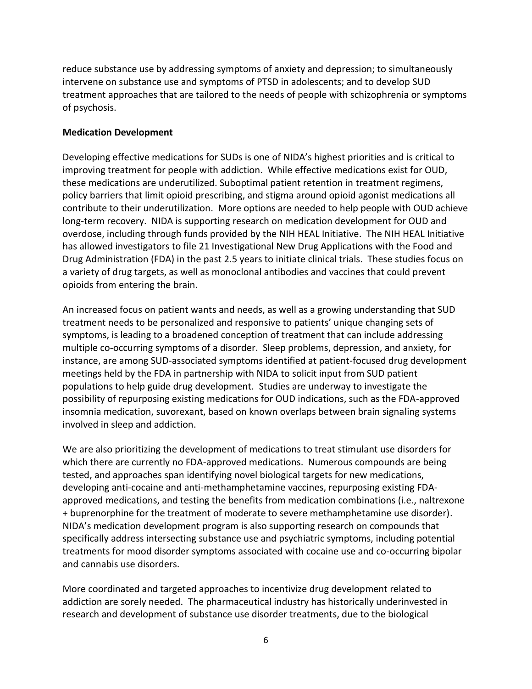reduce substance use by addressing symptoms of anxiety and depression; to simultaneously intervene on substance use and symptoms of PTSD in adolescents; and to develop SUD treatment approaches that are tailored to the needs of people with schizophrenia or symptoms of psychosis.

#### **Medication Development**

Developing effective medications for SUDs is one of NIDA's highest priorities and is critical to improving treatment for people with addiction. While effective medications exist for OUD, these medications are underutilized. Suboptimal patient retention in treatment regimens, policy barriers that limit opioid prescribing, and stigma around opioid agonist medications all contribute to their underutilization. More options are needed to help people with OUD achieve long-term recovery. NIDA is supporting research on medication development for OUD and overdose, including through funds provided by the NIH HEAL Initiative. The NIH HEAL Initiative has allowed investigators to file 21 Investigational New Drug Applications with the Food and Drug Administration (FDA) in the past 2.5 years to initiate clinical trials. These studies focus on a variety of drug targets, as well as monoclonal antibodies and vaccines that could prevent opioids from entering the brain.

An increased focus on patient wants and needs, as well as a growing understanding that SUD treatment needs to be personalized and responsive to patients' unique changing sets of symptoms, is leading to a broadened conception of treatment that can include addressing multiple co-occurring symptoms of a disorder. Sleep problems, depression, and anxiety, for instance, are among SUD-associated symptoms identified at patient-focused drug development meetings held by the FDA in partnership with NIDA to solicit input from SUD patient populations to help guide drug development. Studies are underway to investigate the possibility of repurposing existing medications for OUD indications, such as the FDA-approved insomnia medication, suvorexant, based on known overlaps between brain signaling systems involved in sleep and addiction.

We are also prioritizing the development of medications to treat stimulant use disorders for which there are currently no FDA-approved medications. Numerous compounds are being tested, and approaches span identifying novel biological targets for new medications, developing anti-cocaine and anti-methamphetamine vaccines, repurposing existing FDAapproved medications, and testing the benefits from medication combinations (i.e., naltrexone + buprenorphine for the treatment of moderate to severe methamphetamine use disorder). NIDA's medication development program is also supporting research on compounds that specifically address intersecting substance use and psychiatric symptoms, including potential treatments for mood disorder symptoms associated with cocaine use and co-occurring bipolar and cannabis use disorders.

More coordinated and targeted approaches to incentivize drug development related to addiction are sorely needed. The pharmaceutical industry has historically underinvested in research and development of substance use disorder treatments, due to the biological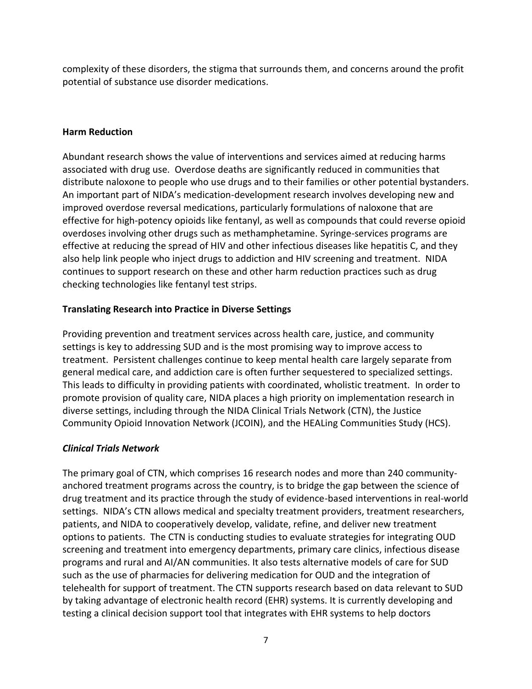complexity of these disorders, the stigma that surrounds them, and concerns around the profit potential of substance use disorder medications.

#### **Harm Reduction**

Abundant research shows the value of interventions and services aimed at reducing harms associated with drug use. Overdose deaths are significantly reduced in communities that distribute naloxone to people who use drugs and to their families or other potential bystanders. An important part of NIDA's medication-development research involves developing new and improved overdose reversal medications, particularly formulations of naloxone that are effective for high-potency opioids like fentanyl, as well as compounds that could reverse opioid overdoses involving other drugs such as methamphetamine. Syringe-services programs are effective at reducing the spread of HIV and other infectious diseases like hepatitis C, and they also help link people who inject drugs to addiction and HIV screening and treatment. NIDA continues to support research on these and other harm reduction practices such as drug checking technologies like fentanyl test strips.

# **Translating Research into Practice in Diverse Settings**

Providing prevention and treatment services across health care, justice, and community settings is key to addressing SUD and is the most promising way to improve access to treatment. Persistent challenges continue to keep mental health care largely separate from general medical care, and addiction care is often further sequestered to specialized settings. This leads to difficulty in providing patients with coordinated, wholistic treatment. In order to promote provision of quality care, NIDA places a high priority on implementation research in diverse settings, including through the NIDA Clinical Trials Network (CTN), the Justice Community Opioid Innovation Network (JCOIN), and the HEALing Communities Study (HCS).

# *Clinical Trials Network*

The primary goal of CTN, which comprises 16 research nodes and more than 240 communityanchored treatment programs across the country, is to bridge the gap between the science of drug treatment and its practice through the study of evidence-based interventions in real-world settings. NIDA's CTN allows medical and specialty treatment providers, treatment researchers, patients, and NIDA to cooperatively develop, validate, refine, and deliver new treatment options to patients. The CTN is conducting studies to evaluate strategies for integrating OUD screening and treatment into emergency departments, primary care clinics, infectious disease programs and rural and AI/AN communities. It also tests alternative models of care for SUD such as the use of pharmacies for delivering medication for OUD and the integration of telehealth for support of treatment. The CTN supports research based on data relevant to SUD by taking advantage of electronic health record (EHR) systems. It is currently developing and testing a clinical decision support tool that integrates with EHR systems to help doctors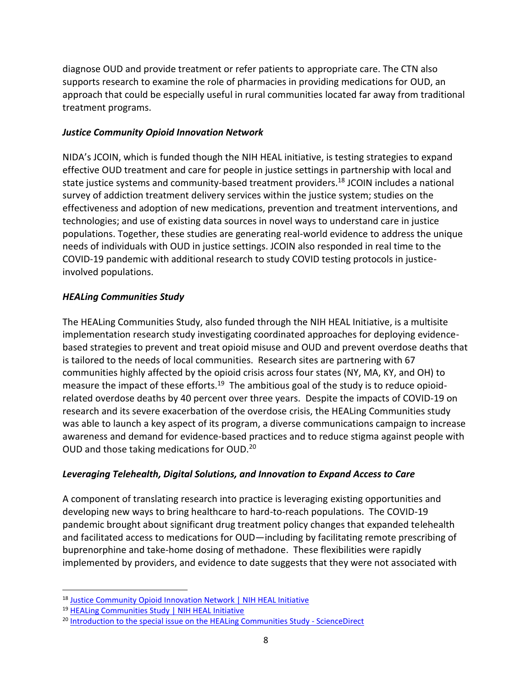diagnose OUD and provide treatment or refer patients to appropriate care. The CTN also supports research to examine the role of pharmacies in providing medications for OUD, an approach that could be especially useful in rural communities located far away from traditional treatment programs.

#### *Justice Community Opioid Innovation Network*

NIDA's JCOIN, which is funded though the NIH HEAL initiative, is testing strategies to expand effective OUD treatment and care for people in justice settings in partnership with local and state justice systems and community-based treatment providers.<sup>18</sup> JCOIN includes a national survey of addiction treatment delivery services within the justice system; studies on the effectiveness and adoption of new medications, prevention and treatment interventions, and technologies; and use of existing data sources in novel ways to understand care in justice populations. Together, these studies are generating real-world evidence to address the unique needs of individuals with OUD in justice settings. JCOIN also responded in real time to the COVID-19 pandemic with additional research to study COVID testing protocols in justiceinvolved populations.

# *HEALing Communities Study*

The HEALing Communities Study, also funded through the NIH HEAL Initiative, is a multisite implementation research study investigating coordinated approaches for deploying evidencebased strategies to prevent and treat opioid misuse and OUD and prevent overdose deaths that is tailored to the needs of local communities. Research sites are partnering with 67 communities highly affected by the opioid crisis across four states (NY, MA, KY, and OH) to measure the impact of these efforts.<sup>19</sup> The ambitious goal of the study is to reduce opioidrelated overdose deaths by 40 percent over three years. Despite the impacts of COVID-19 on research and its severe exacerbation of the overdose crisis, the HEALing Communities study was able to launch a key aspect of its program, a diverse communications campaign to increase awareness and demand for evidence-based practices and to reduce stigma against people with OUD and those taking medications for OUD.<sup>20</sup>

# *Leveraging Telehealth, Digital Solutions, and Innovation to Expand Access to Care*

A component of translating research into practice is leveraging existing opportunities and developing new ways to bring healthcare to hard-to-reach populations. The COVID-19 pandemic brought about significant drug treatment policy changes that expanded telehealth and facilitated access to medications for OUD—including by facilitating remote prescribing of buprenorphine and take-home dosing of methadone. These flexibilities were rapidly implemented by providers, and evidence to date suggests that they were not associated with

<sup>18</sup> [Justice Community Opioid Innovation Network | NIH HEAL Initiative](https://heal.nih.gov/research/research-to-practice/jcoin)

<sup>19</sup> [HEALing Communities Study | NIH HEAL Initiative](https://heal.nih.gov/research/research-to-practice/healing-communities)

<sup>&</sup>lt;sup>20</sup> [Introduction to the special issue on the HEALing Communities Study -](https://www.sciencedirect.com/science/article/pii/S0376871620304920?via%3Dihub) ScienceDirect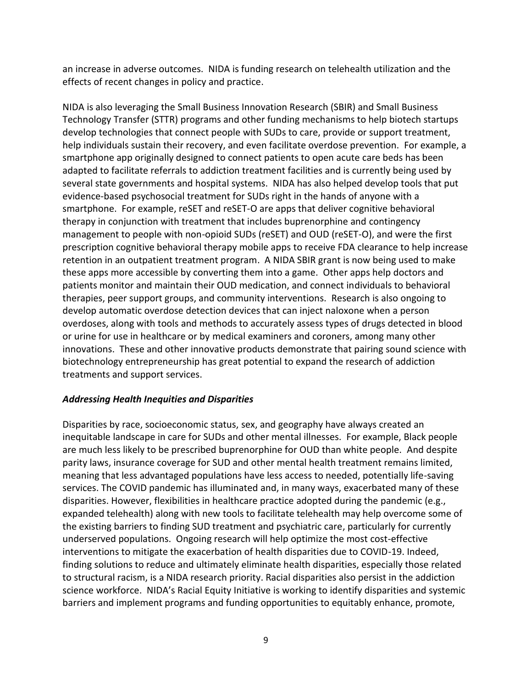an increase in adverse outcomes. NIDA is funding research on telehealth utilization and the effects of recent changes in policy and practice.

NIDA is also leveraging the Small Business Innovation Research (SBIR) and Small Business Technology Transfer (STTR) programs and other funding mechanisms to help biotech startups develop technologies that connect people with SUDs to care, provide or support treatment, help individuals sustain their recovery, and even facilitate overdose prevention. For example, a smartphone app originally designed to connect patients to open acute care beds has been adapted to facilitate referrals to addiction treatment facilities and is currently being used by several state governments and hospital systems. NIDA has also helped develop tools that put evidence-based psychosocial treatment for SUDs right in the hands of anyone with a smartphone. For example, reSET and reSET-O are apps that deliver cognitive behavioral therapy in conjunction with treatment that includes buprenorphine and contingency management to people with non-opioid SUDs (reSET) and OUD (reSET-O), and were the first prescription cognitive behavioral therapy mobile apps to receive FDA clearance to help increase retention in an outpatient treatment program. A NIDA SBIR grant is now being used to make these apps more accessible by converting them into a game. Other apps help doctors and patients monitor and maintain their OUD medication, and connect individuals to behavioral therapies, peer support groups, and community interventions. Research is also ongoing to develop automatic overdose detection devices that can inject naloxone when a person overdoses, along with tools and methods to accurately assess types of drugs detected in blood or urine for use in healthcare or by medical examiners and coroners, among many other innovations. These and other innovative products demonstrate that pairing sound science with biotechnology entrepreneurship has great potential to expand the research of addiction treatments and support services.

# *Addressing Health Inequities and Disparities*

Disparities by race, socioeconomic status, sex, and geography have always created an inequitable landscape in care for SUDs and other mental illnesses. For example, Black people are much less likely to be prescribed buprenorphine for OUD than white people. And despite parity laws, insurance coverage for SUD and other mental health treatment remains limited, meaning that less advantaged populations have less access to needed, potentially life-saving services. The COVID pandemic has illuminated and, in many ways, exacerbated many of these disparities. However, flexibilities in healthcare practice adopted during the pandemic (e.g., expanded telehealth) along with new tools to facilitate telehealth may help overcome some of the existing barriers to finding SUD treatment and psychiatric care, particularly for currently underserved populations. Ongoing research will help optimize the most cost-effective interventions to mitigate the exacerbation of health disparities due to COVID-19. Indeed, finding solutions to reduce and ultimately eliminate health disparities, especially those related to structural racism, is a NIDA research priority. Racial disparities also persist in the addiction science workforce. NIDA's Racial Equity Initiative is working to identify disparities and systemic barriers and implement programs and funding opportunities to equitably enhance, promote,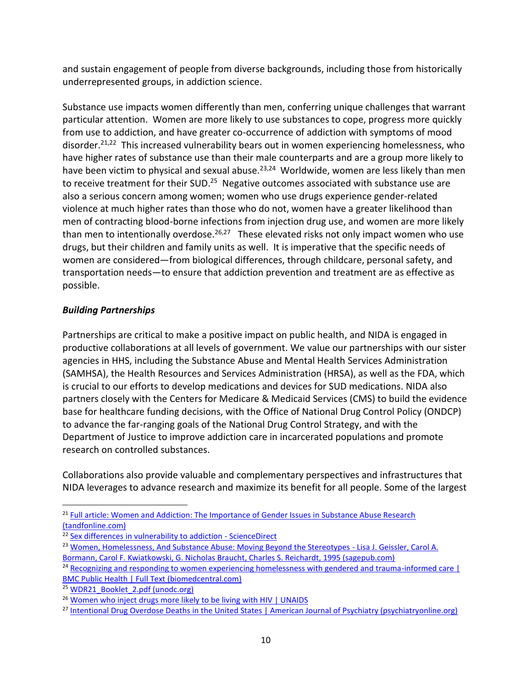and sustain engagement of people from diverse backgrounds, including those from historically underrepresented groups, in addiction science.

Substance use impacts women differently than men, conferring unique challenges that warrant particular attention. Women are more likely to use substances to cope, progress more quickly from use to addiction, and have greater co-occurrence of addiction with symptoms of mood disorder.<sup>21,22</sup> This increased vulnerability bears out in women experiencing homelessness, who have higher rates of substance use than their male counterparts and are a group more likely to have been victim to physical and sexual abuse.<sup>23,24</sup> Worldwide, women are less likely than men to receive treatment for their SUD.<sup>25</sup> Negative outcomes associated with substance use are also a serious concern among women; women who use drugs experience gender-related violence at much higher rates than those who do not, women have a greater likelihood than men of contracting blood-borne infections from injection drug use, and women are more likely than men to intentionally overdose.<sup>26,27</sup> These elevated risks not only impact women who use drugs, but their children and family units as well. It is imperative that the specific needs of women are considered—from biological differences, through childcare, personal safety, and transportation needs—to ensure that addiction prevention and treatment are as effective as possible.

# *Building Partnerships*

Partnerships are critical to make a positive impact on public health, and NIDA is engaged in productive collaborations at all levels of government. We value our partnerships with our sister agencies in HHS, including the Substance Abuse and Mental Health Services Administration (SAMHSA), the Health Resources and Services Administration (HRSA), as well as the FDA, which is crucial to our efforts to develop medications and devices for SUD medications. NIDA also partners closely with the Centers for Medicare & Medicaid Services (CMS) to build the evidence base for healthcare funding decisions, with the Office of National Drug Control Policy (ONDCP) to advance the far-ranging goals of the National Drug Control Strategy, and with the Department of Justice to improve addiction care in incarcerated populations and promote research on controlled substances.

Collaborations also provide valuable and complementary perspectives and infrastructures that NIDA leverages to advance research and maximize its benefit for all people. Some of the largest

<sup>&</sup>lt;sup>21</sup> Full article: Women and Addiction: The Importance of Gender Issues in Substance Abuse Research [\(tandfonline.com\)](https://www.tandfonline.com/doi/full/10.1080/10550881003684582)

<sup>&</sup>lt;sup>22</sup> [Sex differences in vulnerability to addiction -](https://www.sciencedirect.com/science/article/abs/pii/S0028390821000459?via%3Dihub) ScienceDirect

<sup>&</sup>lt;sup>23</sup> [Women, Homelessness, And Substance Abuse: Moving Beyond the Stereotypes -](https://journals.sagepub.com/doi/abs/10.1111/j.1471-6402.1995.tb00279.x) Lisa J. Geissler, Carol A. [Bormann, Carol F. Kwiatkowski, G. Nicholas Braucht, Charles S. Reichardt, 1995 \(sagepub.com\)](https://journals.sagepub.com/doi/abs/10.1111/j.1471-6402.1995.tb00279.x)

<sup>&</sup>lt;sup>24</sup> Recognizing and responding to women experiencing homelessness with gendered and trauma-informed care [ [BMC Public Health | Full Text \(biomedcentral.com\)](https://bmcpublichealth.biomedcentral.com/articles/10.1186/s12889-020-8353-1)

<sup>&</sup>lt;sup>25</sup> [WDR21\\_Booklet\\_2.pdf \(unodc.org\)](https://www.unodc.org/res/wdr2021/field/WDR21_Booklet_2.pdf)

<sup>&</sup>lt;sup>26</sup> [Women who inject drugs more likely to be living with HIV | UNAIDS](https://www.unaids.org/en/resources/presscentre/featurestories/2019/june/20190611_women-who-inject-drugs)

<sup>&</sup>lt;sup>27</sup> [Intentional Drug Overdose Deaths in the United States | American Journal of Psychiatry \(psychiatryonline.org\)](https://ajp.psychiatryonline.org/doi/10.1176/appi.ajp.2021.21060604)